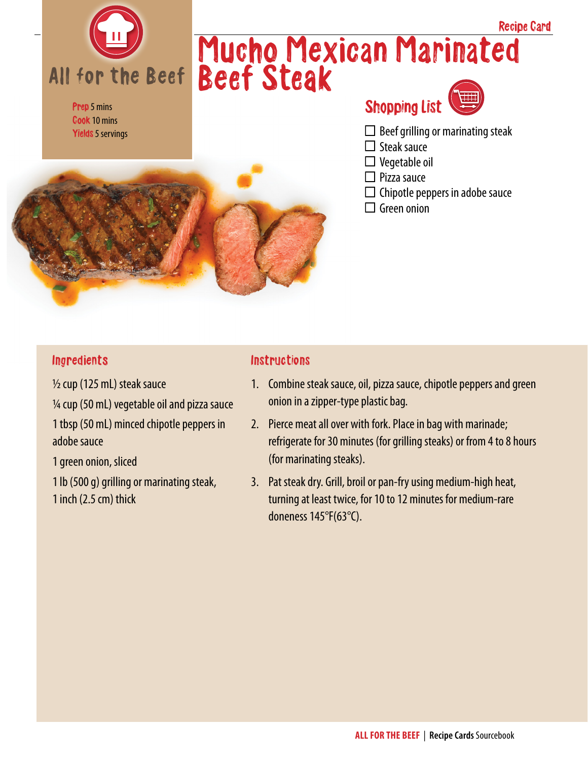

Prep 5 mins Cook 10 mins Yields 5 servings

## Mucho Mexican Marinated Beef Steak Recipe Card

## Shopping List



- $\Box$  Beef grilling or marinating steak
- $\Box$  Steak sauce
- $\square$  Vegetable oil
- $\Box$  Pizza sauce
- $\Box$  Chipotle peppers in adobe sauce
- $\Box$  Green onion

#### **Ingredients**

½ cup (125 mL) steak sauce ¼ cup (50 mL) vegetable oil and pizza sauce 1 tbsp (50 mL) minced chipotle peppers in adobe sauce

1 green onion, sliced

1 lb (500 g) grilling or marinating steak, 1 inch (2.5 cm) thick

#### **Instructions**

- 1. Combine steak sauce, oil, pizza sauce, chipotle peppers and green onion in a zipper-type plastic bag.
- 2. Pierce meat all over with fork. Place in bag with marinade; refrigerate for 30 minutes (for grilling steaks) or from 4 to 8 hours (for marinating steaks).
- 3. Pat steak dry. Grill, broil or pan-fry using medium-high heat, turning at least twice, for 10 to 12 minutes for medium-rare doneness 145°F(63°C).